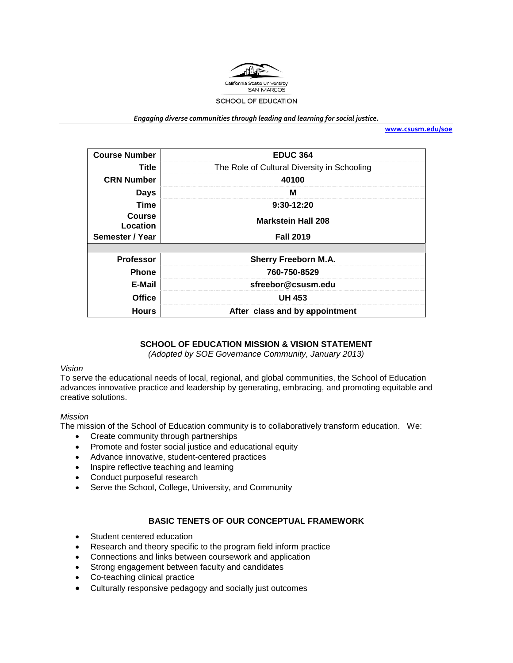

*Engaging diverse communities through leading and learning for social justice.*

**[www.csusm.edu/soe](http://www.csusm.edu/soe)**

| <b>Course Number</b>      | <b>EDUC 364</b>                             |
|---------------------------|---------------------------------------------|
| Title                     | The Role of Cultural Diversity in Schooling |
| <b>CRN Number</b>         | 40100                                       |
| <b>Days</b>               | м                                           |
| <b>Time</b>               | 9:30-12:20                                  |
| <b>Course</b><br>Location | <b>Markstein Hall 208</b>                   |
| Semester / Year           | <b>Fall 2019</b>                            |
|                           |                                             |
| <b>Professor</b>          | <b>Sherry Freeborn M.A.</b>                 |
| <b>Phone</b>              | 760-750-8529                                |
| E-Mail                    | sfreebor@csusm.edu                          |
| <b>Office</b>             | <b>UH 453</b>                               |
| <b>Hours</b>              | After class and by appointment              |

# **SCHOOL OF EDUCATION MISSION & VISION STATEMENT**

*(Adopted by SOE Governance Community, January 2013)*

# *Vision*

To serve the educational needs of local, regional, and global communities, the School of Education advances innovative practice and leadership by generating, embracing, and promoting equitable and creative solutions.

#### *Mission*

The mission of the School of Education community is to collaboratively transform education. We:

- Create community through partnerships
- Promote and foster social justice and educational equity
- Advance innovative, student-centered practices
- Inspire reflective teaching and learning
- Conduct purposeful research
- Serve the School, College, University, and Community

## **BASIC TENETS OF OUR CONCEPTUAL FRAMEWORK**

- Student centered education
- Research and theory specific to the program field inform practice
- Connections and links between coursework and application
- Strong engagement between faculty and candidates
- Co-teaching clinical practice
- Culturally responsive pedagogy and socially just outcomes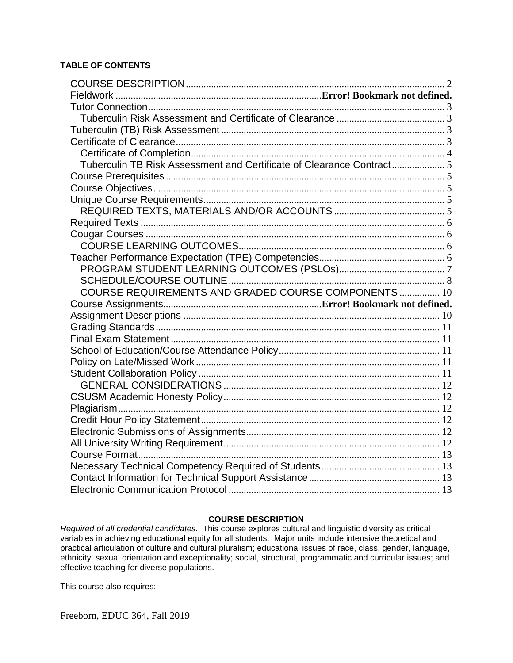# **TABLE OF CONTENTS**

| Tuberculin TB Risk Assessment and Certificate of Clearance Contract5 |  |
|----------------------------------------------------------------------|--|
|                                                                      |  |
|                                                                      |  |
|                                                                      |  |
|                                                                      |  |
|                                                                      |  |
|                                                                      |  |
|                                                                      |  |
|                                                                      |  |
|                                                                      |  |
|                                                                      |  |
| COURSE REQUIREMENTS AND GRADED COURSE COMPONENTS  10                 |  |
|                                                                      |  |
|                                                                      |  |
|                                                                      |  |
|                                                                      |  |
|                                                                      |  |
|                                                                      |  |
|                                                                      |  |
|                                                                      |  |
|                                                                      |  |
|                                                                      |  |
|                                                                      |  |
|                                                                      |  |
|                                                                      |  |
|                                                                      |  |
|                                                                      |  |
|                                                                      |  |
|                                                                      |  |

# **COURSE DESCRIPTION**

<span id="page-1-0"></span>*Required of all credential candidates.* This course explores cultural and linguistic diversity as critical variables in achieving educational equity for all students. Major units include intensive theoretical and practical articulation of culture and cultural pluralism; educational issues of race, class, gender, language, ethnicity, sexual orientation and exceptionality; social, structural, programmatic and curricular issues; and effective teaching for diverse populations.

This course also requires: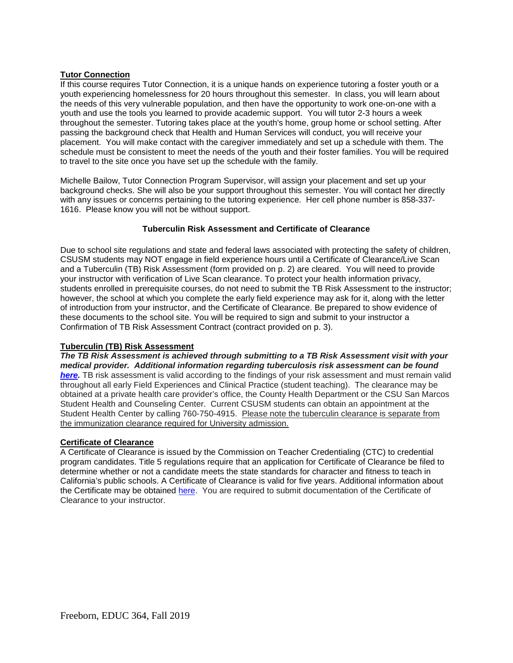### <span id="page-2-0"></span>**Tutor Connection**

If this course requires Tutor Connection, it is a unique hands on experience tutoring a foster youth or a youth experiencing homelessness for 20 hours throughout this semester. In class, you will learn about the needs of this very vulnerable population, and then have the opportunity to work one-on-one with a youth and use the tools you learned to provide academic support. You will tutor 2-3 hours a week throughout the semester. Tutoring takes place at the youth's home, group home or school setting. After passing the background check that Health and Human Services will conduct, you will receive your placement. You will make contact with the caregiver immediately and set up a schedule with them. The schedule must be consistent to meet the needs of the youth and their foster families. You will be required to travel to the site once you have set up the schedule with the family.

Michelle Bailow, Tutor Connection Program Supervisor, will assign your placement and set up your background checks. She will also be your support throughout this semester. You will contact her directly with any issues or concerns pertaining to the tutoring experience. Her cell phone number is 858-337- 1616. Please know you will not be without support.

# **Tuberculin Risk Assessment and Certificate of Clearance**

<span id="page-2-1"></span>Due to school site regulations and state and federal laws associated with protecting the safety of children, CSUSM students may NOT engage in field experience hours until a Certificate of Clearance/Live Scan and a Tuberculin (TB) Risk Assessment (form provided on p. 2) are cleared. You will need to provide your instructor with verification of Live Scan clearance. To protect your health information privacy, students enrolled in prerequisite courses, do not need to submit the TB Risk Assessment to the instructor; however, the school at which you complete the early field experience may ask for it, along with the letter of introduction from your instructor, and the Certificate of Clearance. Be prepared to show evidence of these documents to the school site. You will be required to sign and submit to your instructor a Confirmation of TB Risk Assessment Contract (contract provided on p. 3).

#### <span id="page-2-2"></span>**Tuberculin (TB) Risk Assessment**

*The TB Risk Assessment is achieved through submitting to a TB Risk Assessment visit with your medical provider. Additional information regarding tuberculosis risk assessment can be found [here.](https://ctca2015.iescentral.com/filelibrary/TBCB-CA-School-Staff-Volunteer-TB-Risk-Assessment.pdf)* TB risk assessment is valid according to the findings of your risk assessment and must remain valid throughout all early Field Experiences and Clinical Practice (student teaching). The clearance may be obtained at a private health care provider's office, the County Health Department or the CSU San Marcos Student Health and Counseling Center. Current CSUSM students can obtain an appointment at the Student Health Center by calling 760-750-4915. Please note the tuberculin clearance is separate from the immunization clearance required for University admission.

# <span id="page-2-3"></span>**Certificate of Clearance**

A Certificate of Clearance is issued by the Commission on Teacher Credentialing (CTC) to credential program candidates. Title 5 regulations require that an application for Certificate of Clearance be filed to determine whether or not a candidate meets the state standards for character and fitness to teach in California's public schools. A Certificate of Clearance is valid for five years. Additional information about the Certificate may be obtained [here.](https://www.csusm.edu/soe/documents/currentstudents/formsandresources/credential/certificate_of_clearance.pdf) You are required to submit documentation of the Certificate of Clearance to your instructor.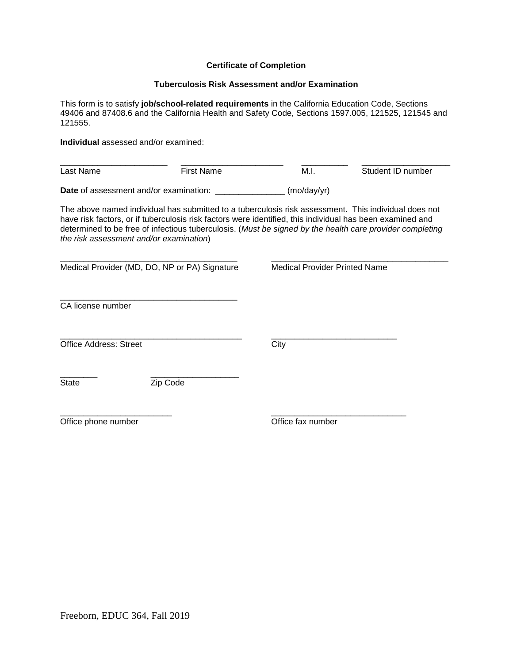## **Certificate of Completion**

#### **Tuberculosis Risk Assessment and/or Examination**

<span id="page-3-0"></span>This form is to satisfy **job/school-related requirements** in the California Education Code, Sections 49406 and 87408.6 and the California Health and Safety Code, Sections 1597.005, 121525, 121545 and 121555.

**Individual** assessed and/or examined:

| Last Name                                     | First Name | M.I.                | Student ID number |
|-----------------------------------------------|------------|---------------------|-------------------|
| <b>Date</b> of assessment and/or examination: |            | $(mod\gamma\gamma)$ |                   |

The above named individual has submitted to a tuberculosis risk assessment. This individual does not have risk factors, or if tuberculosis risk factors were identified, this individual has been examined and determined to be free of infectious tuberculosis. (*Must be signed by the health care provider completing the risk assessment and/or examination*)

| Medical Provider (MD, DO, NP or PA) Signature |          | <b>Medical Provider Printed Name</b> |  |
|-----------------------------------------------|----------|--------------------------------------|--|
| CA license number                             |          |                                      |  |
| <b>Office Address: Street</b>                 |          | City                                 |  |
| <b>State</b>                                  | Zip Code |                                      |  |
| Office phone number                           |          | Office fax number                    |  |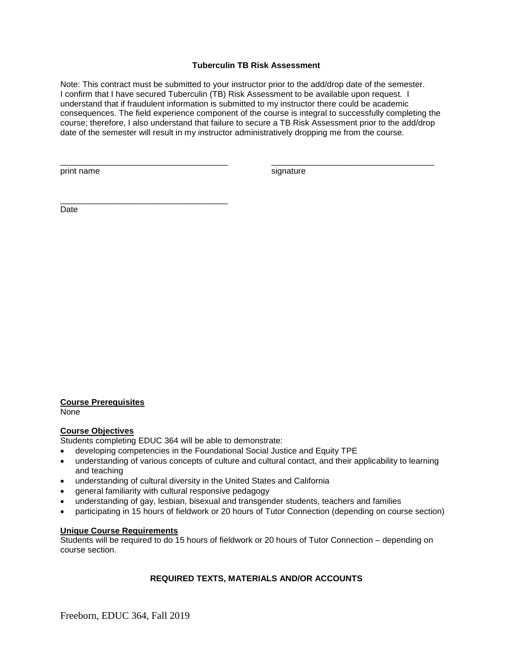# **Tuberculin TB Risk Assessment**

<span id="page-4-0"></span>Note: This contract must be submitted to your instructor prior to the add/drop date of the semester. I confirm that I have secured Tuberculin (TB) Risk Assessment to be available upon request. I understand that if fraudulent information is submitted to my instructor there could be academic consequences. The field experience component of the course is integral to successfully completing the course; therefore, I also understand that failure to secure a TB Risk Assessment prior to the add/drop date of the semester will result in my instructor administratively dropping me from the course.

\_\_\_\_\_\_\_\_\_\_\_\_\_\_\_\_\_\_\_\_\_\_\_\_\_\_\_\_\_\_\_\_\_\_\_\_ \_\_\_\_\_\_\_\_\_\_\_\_\_\_\_\_\_\_\_\_\_\_\_\_\_\_\_\_\_\_\_\_\_\_\_

print name signature

\_\_\_\_\_\_\_\_\_\_\_\_\_\_\_\_\_\_\_\_\_\_\_\_\_\_\_\_\_\_\_\_\_\_\_\_

Date

# <span id="page-4-1"></span>**Course Prerequisites**

None

#### <span id="page-4-2"></span>**Course Objectives**

Students completing EDUC 364 will be able to demonstrate:

- developing competencies in the Foundational Social Justice and Equity TPE
- understanding of various concepts of culture and cultural contact, and their applicability to learning and teaching
- understanding of cultural diversity in the United States and California
- general familiarity with cultural responsive pedagogy
- understanding of gay, lesbian, bisexual and transgender students, teachers and families
- participating in 15 hours of fieldwork or 20 hours of Tutor Connection (depending on course section)

## <span id="page-4-3"></span>**Unique Course Requirements**

Students will be required to do 15 hours of fieldwork or 20 hours of Tutor Connection – depending on course section.

# **REQUIRED TEXTS, MATERIALS AND/OR ACCOUNTS**

<span id="page-4-4"></span>Freeborn, EDUC 364, Fall 2019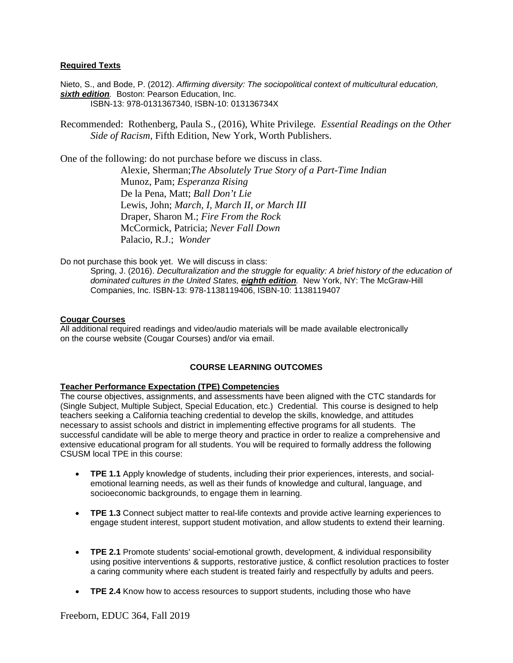# <span id="page-5-0"></span>**Required Texts**

Nieto, S., and Bode, P. (2012). *Affirming diversity: The sociopolitical context of multicultural education, sixth edition.* Boston: Pearson Education, Inc. ISBN-13: 978-0131367340, ISBN-10: 013136734X

Recommended: Rothenberg, Paula S., (2016), White Privilege*. Essential Readings on the Other Side of Racism,* Fifth Edition, New York, Worth Publishers.

One of the following: do not purchase before we discuss in class. Alexie, Sherman;*The Absolutely True Story of a Part-Time Indian* Munoz, Pam; *Esperanza Rising* De la Pena, Matt; *Ball Don't Lie* Lewis, John; *March, I, March II, or March III* Draper, Sharon M.; *Fire From the Rock*  McCormick, Patricia; *Never Fall Down* Palacio, R.J.; *Wonder*

Do not purchase this book yet. We will discuss in class:

Spring, J. (2016). *Deculturalization and the struggle for equality: A brief history of the education of dominated cultures in the United States, eighth edition.* New York, NY: The McGraw-Hill Companies, Inc. ISBN-13: 978-1138119406, ISBN-10: 1138119407

#### <span id="page-5-1"></span>**Cougar Courses**

All additional required readings and video/audio materials will be made available electronically on the course website (Cougar Courses) and/or via email.

#### **COURSE LEARNING OUTCOMES**

#### <span id="page-5-3"></span><span id="page-5-2"></span>**Teacher Performance Expectation (TPE) Competencies**

The course objectives, assignments, and assessments have been aligned with the CTC standards for (Single Subject, Multiple Subject, Special Education, etc.) Credential. This course is designed to help teachers seeking a California teaching credential to develop the skills, knowledge, and attitudes necessary to assist schools and district in implementing effective programs for all students. The successful candidate will be able to merge theory and practice in order to realize a comprehensive and extensive educational program for all students. You will be required to formally address the following CSUSM local TPE in this course:

- **TPE 1.1** Apply knowledge of students, including their prior experiences, interests, and socialemotional learning needs, as well as their funds of knowledge and cultural, language, and socioeconomic backgrounds, to engage them in learning.
- **TPE 1.3** Connect subject matter to real-life contexts and provide active learning experiences to engage student interest, support student motivation, and allow students to extend their learning.
- **TPE 2.1** Promote students' social-emotional growth, development, & individual responsibility using positive interventions & supports, restorative justice, & conflict resolution practices to foster a caring community where each student is treated fairly and respectfully by adults and peers.
- **TPE 2.4** Know how to access resources to support students, including those who have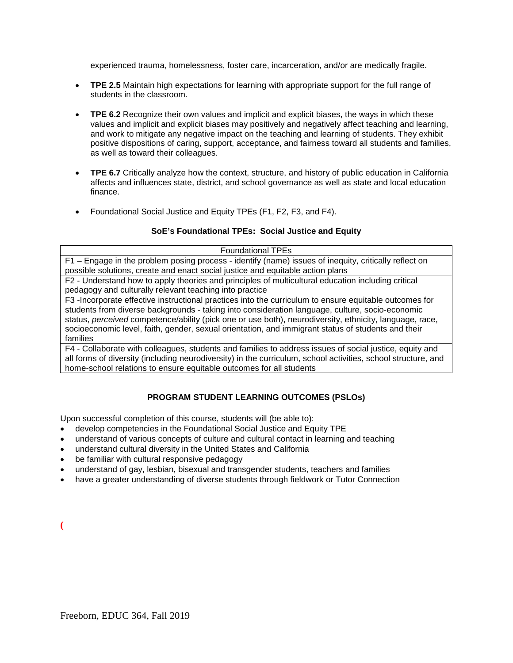experienced trauma, homelessness, foster care, incarceration, and/or are medically fragile.

- **TPE 2.5** Maintain high expectations for learning with appropriate support for the full range of students in the classroom.
- **TPE 6.2** Recognize their own values and implicit and explicit biases, the ways in which these values and implicit and explicit biases may positively and negatively affect teaching and learning, and work to mitigate any negative impact on the teaching and learning of students. They exhibit positive dispositions of caring, support, acceptance, and fairness toward all students and families, as well as toward their colleagues.
- **TPE 6.7** Critically analyze how the context, structure, and history of public education in California affects and influences state, district, and school governance as well as state and local education finance.
- Foundational Social Justice and Equity TPEs (F1, F2, F3, and F4).

# **SoE's Foundational TPEs: Social Justice and Equity**

| <b>Foundational TPEs</b>                                                                                      |  |
|---------------------------------------------------------------------------------------------------------------|--|
| F1 - Engage in the problem posing process - identify (name) issues of inequity, critically reflect on         |  |
| possible solutions, create and enact social justice and equitable action plans                                |  |
| F2 - Understand how to apply theories and principles of multicultural education including critical            |  |
| pedagogy and culturally relevant teaching into practice                                                       |  |
| F3 -Incorporate effective instructional practices into the curriculum to ensure equitable outcomes for        |  |
| students from diverse backgrounds - taking into consideration language, culture, socio-economic               |  |
| status, perceived competence/ability (pick one or use both), neurodiversity, ethnicity, language, race,       |  |
| socioeconomic level, faith, gender, sexual orientation, and immigrant status of students and their            |  |
| families                                                                                                      |  |
| F4 - Collaborate with colleagues, students and families to address issues of social justice, equity and       |  |
| all forms of diversity (including neurodiversity) in the curriculum, school activities, school structure, and |  |
| home-school relations to ensure equitable outcomes for all students                                           |  |

# **PROGRAM STUDENT LEARNING OUTCOMES (PSLOs)**

<span id="page-6-0"></span>Upon successful completion of this course, students will (be able to):

- develop competencies in the Foundational Social Justice and Equity TPE
- understand of various concepts of culture and cultural contact in learning and teaching
- understand cultural diversity in the United States and California
- be familiar with cultural responsive pedagogy
- understand of gay, lesbian, bisexual and transgender students, teachers and families
- have a greater understanding of diverse students through fieldwork or Tutor Connection

**(**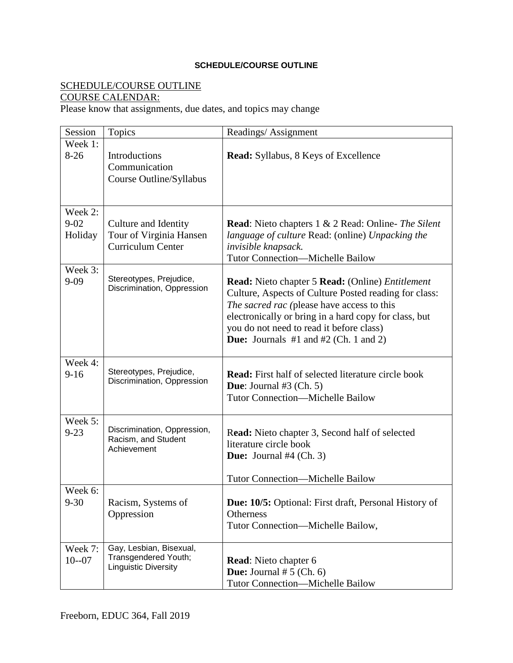# **SCHEDULE/COURSE OUTLINE**

# <span id="page-7-0"></span>SCHEDULE/COURSE OUTLINE

# COURSE CALENDAR:

Please know that assignments, due dates, and topics may change

| Session   | <b>Topics</b>                                         | Readings/Assignment                                                   |
|-----------|-------------------------------------------------------|-----------------------------------------------------------------------|
| Week 1:   |                                                       |                                                                       |
| $8-26$    | Introductions                                         | <b>Read:</b> Syllabus, 8 Keys of Excellence                           |
|           | Communication                                         |                                                                       |
|           | Course Outline/Syllabus                               |                                                                       |
|           |                                                       |                                                                       |
|           |                                                       |                                                                       |
| Week 2:   |                                                       |                                                                       |
| $9 - 02$  | Culture and Identity                                  | <b>Read:</b> Nieto chapters 1 & 2 Read: Online- The Silent            |
| Holiday   | Tour of Virginia Hansen                               | language of culture Read: (online) Unpacking the                      |
|           | Curriculum Center                                     | invisible knapsack.                                                   |
|           |                                                       | <b>Tutor Connection-Michelle Bailow</b>                               |
| Week 3:   |                                                       |                                                                       |
| $9 - 09$  | Stereotypes, Prejudice,<br>Discrimination, Oppression | <b>Read:</b> Nieto chapter 5 <b>Read:</b> (Online) <i>Entitlement</i> |
|           |                                                       | Culture, Aspects of Culture Posted reading for class:                 |
|           |                                                       | The sacred rac (please have access to this                            |
|           |                                                       | electronically or bring in a hard copy for class, but                 |
|           |                                                       | you do not need to read it before class)                              |
|           |                                                       | <b>Due:</b> Journals $#1$ and $#2$ (Ch. 1 and 2)                      |
|           |                                                       |                                                                       |
| Week 4:   | Stereotypes, Prejudice,                               |                                                                       |
| $9 - 16$  | Discrimination, Oppression                            | <b>Read:</b> First half of selected literature circle book            |
|           |                                                       | <b>Due:</b> Journal $#3$ (Ch. 5)                                      |
|           |                                                       | <b>Tutor Connection-Michelle Bailow</b>                               |
|           |                                                       |                                                                       |
| Week 5:   | Discrimination, Oppression,                           |                                                                       |
| $9 - 23$  | Racism, and Student                                   | Read: Nieto chapter 3, Second half of selected                        |
|           | Achievement                                           | literature circle book                                                |
|           |                                                       | <b>Due:</b> Journal #4 (Ch. 3)                                        |
|           |                                                       | <b>Tutor Connection-Michelle Bailow</b>                               |
| Week 6:   |                                                       |                                                                       |
| $9 - 30$  | Racism, Systems of                                    | Due: 10/5: Optional: First draft, Personal History of                 |
|           | Oppression                                            | <b>Otherness</b>                                                      |
|           |                                                       | Tutor Connection-Michelle Bailow,                                     |
|           |                                                       |                                                                       |
| Week 7:   | Gay, Lesbian, Bisexual,                               |                                                                       |
| $10 - 07$ | Transgendered Youth;                                  | <b>Read:</b> Nieto chapter 6                                          |
|           | <b>Linguistic Diversity</b>                           | <b>Due:</b> Journal $# 5$ (Ch. 6)                                     |
|           |                                                       | <b>Tutor Connection-Michelle Bailow</b>                               |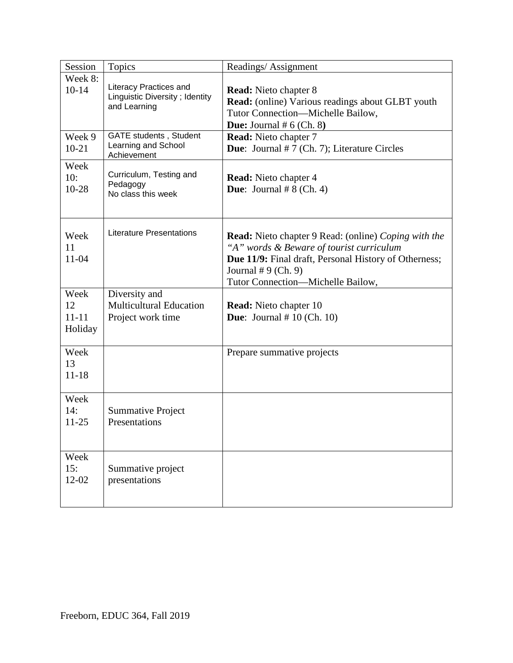| Session                            | <b>Topics</b>                                                                   | Readings/Assignment                                                                                                                                                                                                           |
|------------------------------------|---------------------------------------------------------------------------------|-------------------------------------------------------------------------------------------------------------------------------------------------------------------------------------------------------------------------------|
| Week 8:<br>$10-14$                 | <b>Literacy Practices and</b><br>Linguistic Diversity; Identity<br>and Learning | <b>Read:</b> Nieto chapter 8<br><b>Read:</b> (online) Various readings about GLBT youth<br>Tutor Connection-Michelle Bailow,<br><b>Due:</b> Journal $# 6$ (Ch. 8)                                                             |
| Week 9<br>$10 - 21$                | <b>GATE students, Student</b><br>Learning and School<br>Achievement             | <b>Read:</b> Nieto chapter 7<br><b>Due:</b> Journal $# 7$ (Ch. 7); Literature Circles                                                                                                                                         |
| Week<br>10:<br>$10 - 28$           | Curriculum, Testing and<br>Pedagogy<br>No class this week                       | <b>Read:</b> Nieto chapter 4<br><b>Due:</b> Journal $# 8$ (Ch. 4)                                                                                                                                                             |
| Week<br>11<br>11-04                | <b>Literature Presentations</b>                                                 | <b>Read:</b> Nieto chapter 9 Read: (online) Coping with the<br>"A" words & Beware of tourist curriculum<br>Due 11/9: Final draft, Personal History of Otherness;<br>Journal $#9$ (Ch. 9)<br>Tutor Connection-Michelle Bailow, |
| Week<br>12<br>$11 - 11$<br>Holiday | Diversity and<br><b>Multicultural Education</b><br>Project work time            | <b>Read:</b> Nieto chapter 10<br><b>Due:</b> Journal $# 10$ (Ch. 10)                                                                                                                                                          |
| Week<br>13<br>$11 - 18$            |                                                                                 | Prepare summative projects                                                                                                                                                                                                    |
| Week<br>14:<br>$11 - 25$           | <b>Summative Project</b><br>Presentations                                       |                                                                                                                                                                                                                               |
| Week<br>15:<br>12-02               | Summative project<br>presentations                                              |                                                                                                                                                                                                                               |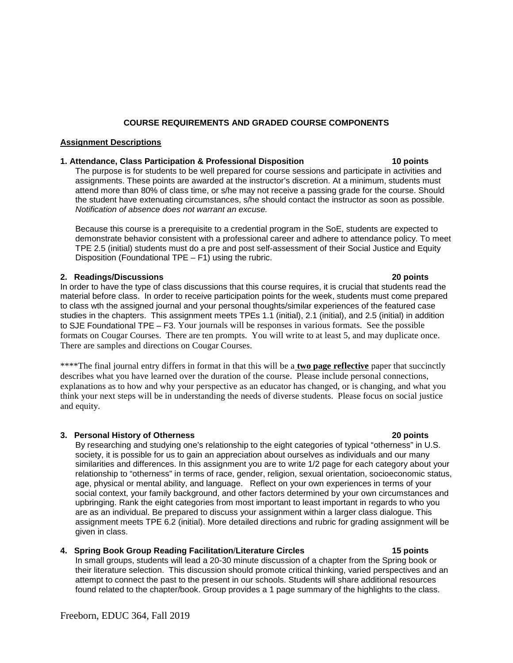# **COURSE REQUIREMENTS AND GRADED COURSE COMPONENTS**

#### <span id="page-9-1"></span><span id="page-9-0"></span>**Assignment Descriptions**

#### **1. Attendance, Class Participation & Professional Disposition 10 points**

The purpose is for students to be well prepared for course sessions and participate in activities and assignments. These points are awarded at the instructor's discretion. At a minimum, students must attend more than 80% of class time, or s/he may not receive a passing grade for the course. Should the student have extenuating circumstances, s/he should contact the instructor as soon as possible. *Notification of absence does not warrant an excuse.*

Because this course is a prerequisite to a credential program in the SoE, students are expected to demonstrate behavior consistent with a professional career and adhere to attendance policy. To meet TPE 2.5 (initial) students must do a pre and post self-assessment of their Social Justice and Equity Disposition (Foundational TPE – F1) using the rubric.

#### **2. Readings/Discussions 20 points**

In order to have the type of class discussions that this course requires, it is crucial that students read the material before class. In order to receive participation points for the week, students must come prepared to class wth the assigned journal and your personal thoughts/similar experiences of the featured case studies in the chapters. This assignment meets TPEs 1.1 (initial), 2.1 (initial), and 2.5 (initial) in addition to SJE Foundational TPE – F3. Your journals will be responses in various formats. See the possible formats on Cougar Courses. There are ten prompts. You will write to at least 5, and may duplicate once. There are samples and directions on Cougar Courses.

\*\*\*\*The final journal entry differs in format in that this will be a **two page reflective** paper that succinctly describes what you have learned over the duration of the course. Please include personal connections, explanations as to how and why your perspective as an educator has changed, or is changing, and what you think your next steps will be in understanding the needs of diverse students. Please focus on social justice and equity.

#### **3. Personal History of Otherness 20 points**

By researching and studying one's relationship to the eight categories of typical "otherness" in U.S. society, it is possible for us to gain an appreciation about ourselves as individuals and our many similarities and differences. In this assignment you are to write 1/2 page for each category about your relationship to "otherness" in terms of race, gender, religion, sexual orientation, socioeconomic status, age, physical or mental ability, and language. Reflect on your own experiences in terms of your social context, your family background, and other factors determined by your own circumstances and upbringing. Rank the eight categories from most important to least important in regards to who you are as an individual. Be prepared to discuss your assignment within a larger class dialogue. This assignment meets TPE 6.2 (initial). More detailed directions and rubric for grading assignment will be given in class.

#### **4. Spring Book Group Reading Facilitation**/**Literature Circles 15 points**

In small groups, students will lead a 20-30 minute discussion of a chapter from the Spring book or their literature selection. This discussion should promote critical thinking, varied perspectives and an attempt to connect the past to the present in our schools. Students will share additional resources found related to the chapter/book. Group provides a 1 page summary of the highlights to the class.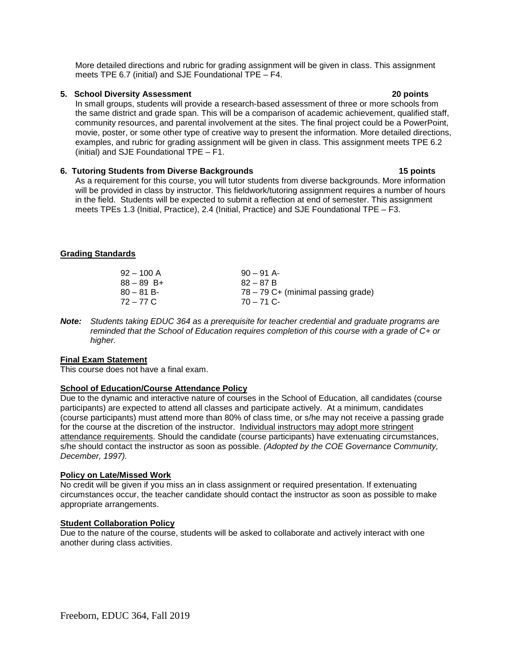More detailed directions and rubric for grading assignment will be given in class. This assignment meets TPE 6.7 (initial) and SJE Foundational TPE – F4.

# **5. School Diversity Assessment 20 points**

In small groups, students will provide a research-based assessment of three or more schools from the same district and grade span. This will be a comparison of academic achievement, qualified staff, community resources, and parental involvement at the sites. The final project could be a PowerPoint, movie, poster, or some other type of creative way to present the information. More detailed directions, examples, and rubric for grading assignment will be given in class. This assignment meets TPE 6.2 (initial) and SJE Foundational TPE – F1.

# **6. Tutoring Students from Diverse Backgrounds 15 points**

As a requirement for this course, you will tutor students from diverse backgrounds. More information will be provided in class by instructor. This fieldwork/tutoring assignment requires a number of hours in the field. Students will be expected to submit a reflection at end of semester. This assignment meets TPEs 1.3 (Initial, Practice), 2.4 (Initial, Practice) and SJE Foundational TPE – F3.

# <span id="page-10-0"></span>**Grading Standards**

| $92 - 100$ A | $90 - 91$ A-                         |
|--------------|--------------------------------------|
| $88 - 89$ B+ | $82 - 87B$                           |
| $80 - 81 B$  | $78 - 79$ C+ (minimal passing grade) |
| 72 – 77 C    | $70 - 71$ C-                         |

*Note: Students taking EDUC 364 as a prerequisite for teacher credential and graduate programs are reminded that the School of Education requires completion of this course with a grade of C+ or higher.*

#### <span id="page-10-1"></span>**Final Exam Statement**

This course does not have a final exam.

# <span id="page-10-2"></span>**School of Education/Course Attendance Policy**

Due to the dynamic and interactive nature of courses in the School of Education, all candidates (course participants) are expected to attend all classes and participate actively. At a minimum, candidates (course participants) must attend more than 80% of class time, or s/he may not receive a passing grade for the course at the discretion of the instructor. Individual instructors may adopt more stringent attendance requirements. Should the candidate (course participants) have extenuating circumstances, s/he should contact the instructor as soon as possible. *(Adopted by the COE Governance Community, December, 1997).*

#### <span id="page-10-3"></span>**Policy on Late/Missed Work**

No credit will be given if you miss an in class assignment or required presentation. If extenuating circumstances occur, the teacher candidate should contact the instructor as soon as possible to make appropriate arrangements.

# <span id="page-10-4"></span>**Student Collaboration Policy**

Due to the nature of the course, students will be asked to collaborate and actively interact with one another during class activities.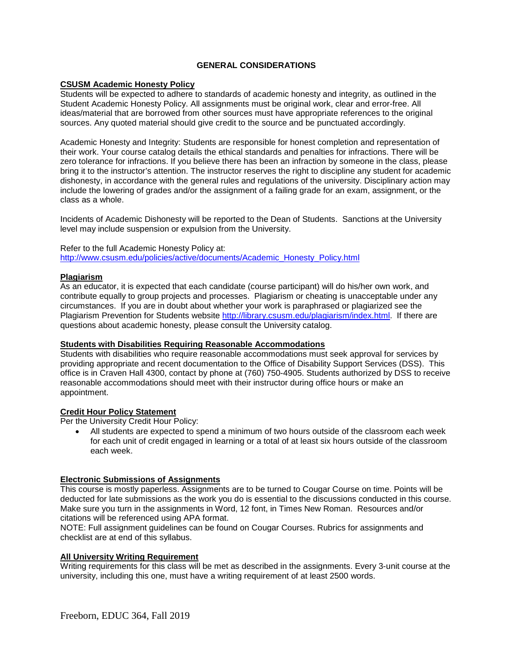# **GENERAL CONSIDERATIONS**

# <span id="page-11-1"></span><span id="page-11-0"></span>**CSUSM Academic Honesty Policy**

Students will be expected to adhere to standards of academic honesty and integrity, as outlined in the Student Academic Honesty Policy. All assignments must be original work, clear and error-free. All ideas/material that are borrowed from other sources must have appropriate references to the original sources. Any quoted material should give credit to the source and be punctuated accordingly.

Academic Honesty and Integrity: Students are responsible for honest completion and representation of their work. Your course catalog details the ethical standards and penalties for infractions. There will be zero tolerance for infractions. If you believe there has been an infraction by someone in the class, please bring it to the instructor's attention. The instructor reserves the right to discipline any student for academic dishonesty, in accordance with the general rules and regulations of the university. Disciplinary action may include the lowering of grades and/or the assignment of a failing grade for an exam, assignment, or the class as a whole.

Incidents of Academic Dishonesty will be reported to the Dean of Students. Sanctions at the University level may include suspension or expulsion from the University.

Refer to the full Academic Honesty Policy at: [http://www.csusm.edu/policies/active/documents/Academic\\_Honesty\\_Policy.html](http://www.csusm.edu/policies/active/documents/Academic_Honesty_Policy.html)

# <span id="page-11-2"></span>**Plagiarism**

As an educator, it is expected that each candidate (course participant) will do his/her own work, and contribute equally to group projects and processes. Plagiarism or cheating is unacceptable under any circumstances. If you are in doubt about whether your work is paraphrased or plagiarized see the Plagiarism Prevention for Students website [http://library.csusm.edu/plagiarism/index.html.](http://library.csusm.edu/plagiarism/index.html) If there are questions about academic honesty, please consult the University catalog.

#### **Students with Disabilities Requiring Reasonable Accommodations**

Students with disabilities who require reasonable accommodations must seek approval for services by providing appropriate and recent documentation to the Office of Disability Support Services (DSS). This office is in Craven Hall 4300, contact by phone at (760) 750-4905. Students authorized by DSS to receive reasonable accommodations should meet with their instructor during office hours or make an appointment.

# <span id="page-11-3"></span>**Credit Hour Policy Statement**

Per the University Credit Hour Policy:

• All students are expected to spend a minimum of two hours outside of the classroom each week for each unit of credit engaged in learning or a total of at least six hours outside of the classroom each week.

# <span id="page-11-4"></span>**Electronic Submissions of Assignments**

This course is mostly paperless. Assignments are to be turned to Cougar Course on time. Points will be deducted for late submissions as the work you do is essential to the discussions conducted in this course. Make sure you turn in the assignments in Word, 12 font, in Times New Roman. Resources and/or citations will be referenced using APA format.

NOTE: Full assignment guidelines can be found on Cougar Courses. Rubrics for assignments and checklist are at end of this syllabus.

#### <span id="page-11-5"></span>**All University Writing Requirement**

Writing requirements for this class will be met as described in the assignments. Every 3-unit course at the university, including this one, must have a writing requirement of at least 2500 words.